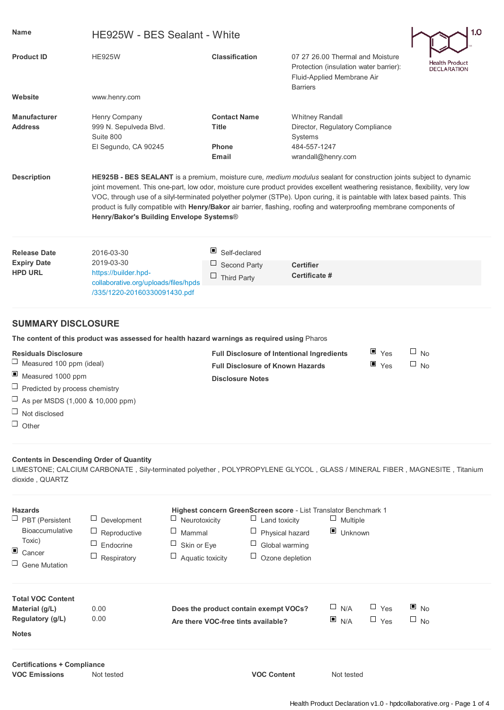| <b>Name</b>                           | HE925W - BES Sealant - White                                                                                                                                                                                                                                                                                                                                                                                                                                                                                                                             | 1.0                                                                        |                                                                                                                             |           |                                      |  |  |
|---------------------------------------|----------------------------------------------------------------------------------------------------------------------------------------------------------------------------------------------------------------------------------------------------------------------------------------------------------------------------------------------------------------------------------------------------------------------------------------------------------------------------------------------------------------------------------------------------------|----------------------------------------------------------------------------|-----------------------------------------------------------------------------------------------------------------------------|-----------|--------------------------------------|--|--|
| <b>Product ID</b>                     | <b>HE925W</b>                                                                                                                                                                                                                                                                                                                                                                                                                                                                                                                                            | <b>Classification</b>                                                      | 07 27 26,00 Thermal and Moisture<br>Protection (insulation water barrier):<br>Fluid-Applied Membrane Air<br><b>Barriers</b> |           | Health Product<br><b>DECLARATION</b> |  |  |
| Website                               | www.henry.com                                                                                                                                                                                                                                                                                                                                                                                                                                                                                                                                            |                                                                            |                                                                                                                             |           |                                      |  |  |
| <b>Manufacturer</b><br><b>Address</b> | Henry Company<br>999 N. Sepulveda Blvd.<br>Suite 800<br>El Segundo, CA 90245                                                                                                                                                                                                                                                                                                                                                                                                                                                                             | <b>Contact Name</b><br>Title<br>Phone<br>Email                             | <b>Whitney Randall</b><br>Director, Regulatory Compliance<br>Systems<br>484-557-1247<br>wrandall@henry.com                  |           |                                      |  |  |
| <b>Description</b>                    | HE925B - BES SEALANT is a premium, moisture cure, medium modulus sealant for construction joints subject to dynamic<br>joint movement. This one-part, low odor, moisture cure product provides excellent weathering resistance, flexibility, very low<br>VOC, through use of a silyl-terminated polyether polymer (STPe). Upon curing, it is paintable with latex based paints. This<br>product is fully compatible with Henry/Bakor air barrier, flashing, roofing and waterproofing membrane components of<br>Henry/Bakor's Building Envelope Systems® |                                                                            |                                                                                                                             |           |                                      |  |  |
| <b>Release Date</b>                   | 2016-03-30                                                                                                                                                                                                                                                                                                                                                                                                                                                                                                                                               | ш<br>Self-declared                                                         |                                                                                                                             |           |                                      |  |  |
| <b>Expiry Date</b>                    | 2019-03-30                                                                                                                                                                                                                                                                                                                                                                                                                                                                                                                                               | ⊔<br>Second Party                                                          | <b>Certifier</b>                                                                                                            |           |                                      |  |  |
| <b>HPD URL</b>                        | https://builder.hpd-<br>collaborative.org/uploads/files/hpds                                                                                                                                                                                                                                                                                                                                                                                                                                                                                             | <b>Third Party</b>                                                         | Certificate #                                                                                                               |           |                                      |  |  |
|                                       | /335/1220-20160330091430.pdf                                                                                                                                                                                                                                                                                                                                                                                                                                                                                                                             |                                                                            |                                                                                                                             |           |                                      |  |  |
| <b>SUMMARY DISCLOSURE</b>             |                                                                                                                                                                                                                                                                                                                                                                                                                                                                                                                                                          |                                                                            |                                                                                                                             |           |                                      |  |  |
|                                       | The content of this product was assessed for health hazard warnings as required using Pharos                                                                                                                                                                                                                                                                                                                                                                                                                                                             |                                                                            |                                                                                                                             |           |                                      |  |  |
| <b>Residuals Disclosure</b>           |                                                                                                                                                                                                                                                                                                                                                                                                                                                                                                                                                          | <b>Full Disclosure of Intentional Ingredients</b>                          | $\blacksquare$ Yes                                                                                                          | $\Box$ No |                                      |  |  |
| $\Box$<br>Measured 100 ppm (ideal)    |                                                                                                                                                                                                                                                                                                                                                                                                                                                                                                                                                          | $\blacksquare$ Yes<br>$\Box$ No<br><b>Full Disclosure of Known Hazards</b> |                                                                                                                             |           |                                      |  |  |
|                                       | ш<br>Measured 1000 ppm<br>$\Box$ Predicted by process chemistry                                                                                                                                                                                                                                                                                                                                                                                                                                                                                          |                                                                            | <b>Disclosure Notes</b>                                                                                                     |           |                                      |  |  |
| As per MSDS (1,000 & 10,000 ppm)      |                                                                                                                                                                                                                                                                                                                                                                                                                                                                                                                                                          |                                                                            |                                                                                                                             |           |                                      |  |  |
| $\Box$<br>Not disclosed               |                                                                                                                                                                                                                                                                                                                                                                                                                                                                                                                                                          |                                                                            |                                                                                                                             |           |                                      |  |  |

 $\Box$  Other

## **Contents in Descending Order of Quantity**

LIMESTONE; CALCIUM CARBONATE , Sily-terminated polyether , POLYPROPYLENE GLYCOL , GLASS / MINERAL FIBER , MAGNESITE , Titanium dioxide , QUARTZ

| <b>Hazards</b><br>$\Box$ PBT (Persistent<br><b>Bioaccumulative</b><br>Toxic)<br>$\Box$ Cancer<br>$\Box$ Gene Mutation | Development<br>□<br>Reproductive<br>Endocrine<br>ப<br>Respiratory | <b>Highest concern GreenScreen score - List Translator Benchmark 1</b><br>⊔<br>Neurotoxicity<br>Land toxicity<br>⊔<br>$\Box$ Physical hazard<br>Mammal<br>$\Box$<br>⊔<br>Skin or Eye<br>Global warming<br>$\Box$<br>Aquatic toxicity<br>Ozone depletion |  | $\sqcup$<br>Multiple<br>$\blacksquare$ Unknown |                          |                                |  |
|-----------------------------------------------------------------------------------------------------------------------|-------------------------------------------------------------------|---------------------------------------------------------------------------------------------------------------------------------------------------------------------------------------------------------------------------------------------------------|--|------------------------------------------------|--------------------------|--------------------------------|--|
| <b>Total VOC Content</b><br>Material (g/L)<br>Regulatory (g/L)<br><b>Notes</b>                                        | 0.00<br>0.00                                                      | Does the product contain exempt VOCs?<br>Are there VOC-free tints available?                                                                                                                                                                            |  | $\Box$ N/A<br>N/A                              | $\Box$ Yes<br>$\Box$ Yes | $\blacksquare$ No<br>$\Box$ No |  |
| <b>Certifications + Compliance</b>                                                                                    |                                                                   |                                                                                                                                                                                                                                                         |  |                                                |                          |                                |  |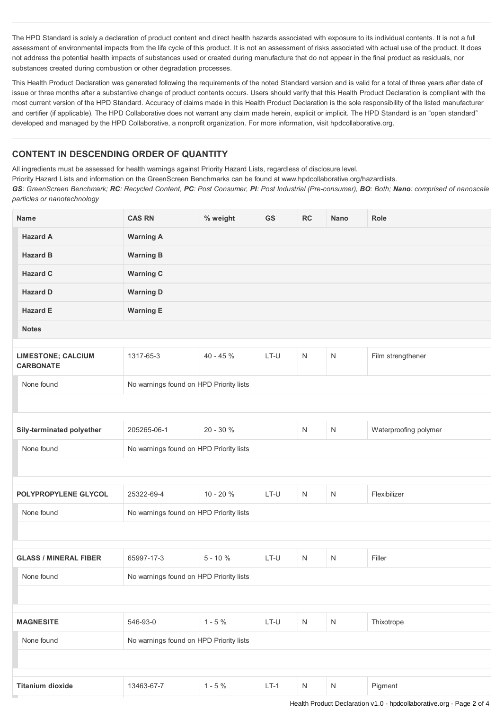The HPD Standard is solely a declaration of product content and direct health hazards associated with exposure to its individual contents. It is not a full assessment of environmental impacts from the life cycle of this product. It is not an assessment of risks associated with actual use of the product. It does not address the potential health impacts of substances used or created during manufacture that do not appear in the final product as residuals, nor substances created during combustion or other degradation processes.

This Health Product Declaration was generated following the requirements of the noted Standard version and is valid for a total of three years after date of issue or three months after a substantive change of product contents occurs. Users should verify that this Health Product Declaration is compliant with the most current version of the HPD Standard. Accuracy of claims made in this Health Product Declaration is the sole responsibility of the listed manufacturer and certifier (if applicable). The HPD Collaborative does not warrant any claim made herein, explicit or implicit. The HPD Standard is an "open standard" developed and managed by the HPD Collaborative, a nonprofit organization. For more information, visit hpdcollaborative.org.

## **CONTENT IN DESCENDING ORDER OF QUANTITY**

All ingredients must be assessed for health warnings against Priority Hazard Lists, regardless of disclosure level.

Priority Hazard Lists and information on the GreenScreen Benchmarks can be found at www.hpdcollaborative.org/hazardlists.

GS: GreenScreen Benchmark; RC: Recycled Content, PC: Post Consumer, PI: Post Industrial (Pre-consumer), BO: Both; Nano: comprised of nanoscale *particles or nanotechnology*

| <b>Name</b>                                   | <b>CAS RN</b>                           | % weight                                | GS     | RC           | <b>Nano</b>  | Role                  |  |  |
|-----------------------------------------------|-----------------------------------------|-----------------------------------------|--------|--------------|--------------|-----------------------|--|--|
| <b>Hazard A</b>                               | <b>Warning A</b>                        |                                         |        |              |              |                       |  |  |
| <b>Hazard B</b>                               | <b>Warning B</b>                        |                                         |        |              |              |                       |  |  |
| <b>Hazard C</b>                               | <b>Warning C</b>                        |                                         |        |              |              |                       |  |  |
| <b>Hazard D</b>                               | <b>Warning D</b>                        |                                         |        |              |              |                       |  |  |
| <b>Hazard E</b>                               | <b>Warning E</b>                        |                                         |        |              |              |                       |  |  |
| <b>Notes</b>                                  |                                         |                                         |        |              |              |                       |  |  |
| <b>LIMESTONE; CALCIUM</b><br><b>CARBONATE</b> | 1317-65-3                               | $40 - 45%$                              | LT-U   | $\mathsf{N}$ | $\mathsf{N}$ | Film strengthener     |  |  |
| None found                                    | No warnings found on HPD Priority lists |                                         |        |              |              |                       |  |  |
|                                               |                                         |                                         |        |              |              |                       |  |  |
| Sily-terminated polyether                     | 205265-06-1                             | 20 - 30 %                               |        | $\mathsf{N}$ | N            | Waterproofing polymer |  |  |
| None found                                    | No warnings found on HPD Priority lists |                                         |        |              |              |                       |  |  |
|                                               |                                         |                                         |        |              |              |                       |  |  |
|                                               |                                         |                                         |        |              |              |                       |  |  |
| POLYPROPYLENE GLYCOL                          | 25322-69-4                              | $10 - 20 %$                             | LT-U   | $\mathsf{N}$ | N            | Flexibilizer          |  |  |
| None found                                    |                                         | No warnings found on HPD Priority lists |        |              |              |                       |  |  |
|                                               |                                         |                                         |        |              |              |                       |  |  |
| <b>GLASS / MINERAL FIBER</b>                  | 65997-17-3                              | $5 - 10%$                               | LT-U   | N            | N            | Filler                |  |  |
| None found                                    | No warnings found on HPD Priority lists |                                         |        |              |              |                       |  |  |
|                                               |                                         |                                         |        |              |              |                       |  |  |
|                                               |                                         |                                         |        |              |              |                       |  |  |
| <b>MAGNESITE</b>                              | 546-93-0                                | $1 - 5%$                                | $LT-U$ | N            | $\mathsf{N}$ | Thixotrope            |  |  |
| None found                                    | No warnings found on HPD Priority lists |                                         |        |              |              |                       |  |  |
|                                               |                                         |                                         |        |              |              |                       |  |  |
| <b>Titanium dioxide</b>                       | 13463-67-7                              | $1 - 5%$                                | $LT-1$ | $\mathsf{N}$ | $\mathsf{N}$ | Pigment               |  |  |
|                                               |                                         |                                         |        |              |              |                       |  |  |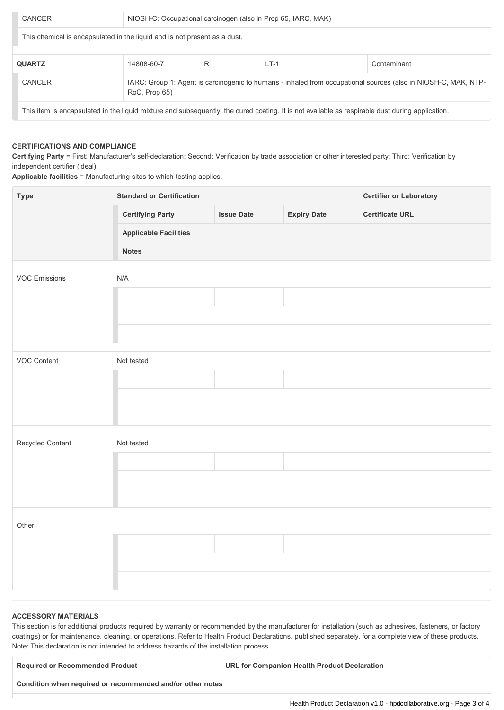This chemical is encapsulated in the liquid and is not present as a dust.

| <b>QUARTZ</b>                                                                                                                                   | 14808-60-7    |                                                                                                                | $LT-1$ |  |  | Contaminant |  |
|-------------------------------------------------------------------------------------------------------------------------------------------------|---------------|----------------------------------------------------------------------------------------------------------------|--------|--|--|-------------|--|
| <b>CANCER</b>                                                                                                                                   | RoC, Prop 65) | IARC: Group 1: Agent is carcinogenic to humans - inhaled from occupational sources (also in NIOSH-C, MAK, NTP- |        |  |  |             |  |
| This item is encapsulated in the liquid mixture and subsequently, the cured coating. It is not available as respirable dust during application. |               |                                                                                                                |        |  |  |             |  |

## **CERTIFICATIONS AND COMPLIANCE**

**Certifying Party** = First: Manufacturer's self-declaration; Second: Verification by trade association or other interested party; Third: Verification by independent certifier (ideal).

**Applicable facilities** = Manufacturing sites to which testing applies.

| <b>Type</b>          | <b>Standard or Certification</b> | <b>Certifier or Laboratory</b> |                    |                        |  |  |  |
|----------------------|----------------------------------|--------------------------------|--------------------|------------------------|--|--|--|
|                      | <b>Certifying Party</b>          | <b>Issue Date</b>              | <b>Expiry Date</b> | <b>Certificate URL</b> |  |  |  |
|                      | <b>Applicable Facilities</b>     |                                |                    |                        |  |  |  |
|                      | <b>Notes</b>                     |                                |                    |                        |  |  |  |
| <b>VOC Emissions</b> | N/A                              |                                |                    |                        |  |  |  |
|                      |                                  |                                |                    |                        |  |  |  |
|                      |                                  |                                |                    |                        |  |  |  |
|                      |                                  |                                |                    |                        |  |  |  |
|                      |                                  |                                |                    |                        |  |  |  |
|                      |                                  |                                |                    |                        |  |  |  |
| VOC Content          | Not tested                       |                                |                    |                        |  |  |  |
|                      |                                  |                                |                    |                        |  |  |  |
|                      |                                  |                                |                    |                        |  |  |  |
|                      |                                  |                                |                    |                        |  |  |  |
|                      |                                  |                                |                    |                        |  |  |  |
| Recycled Content     | Not tested                       |                                |                    |                        |  |  |  |
|                      |                                  |                                |                    |                        |  |  |  |
|                      |                                  |                                |                    |                        |  |  |  |
|                      |                                  |                                |                    |                        |  |  |  |
|                      |                                  |                                |                    |                        |  |  |  |
| Other                |                                  |                                |                    |                        |  |  |  |
|                      |                                  |                                |                    |                        |  |  |  |
|                      |                                  |                                |                    |                        |  |  |  |
|                      |                                  |                                |                    |                        |  |  |  |

## **ACCESSORY MATERIALS**

This section is for additional products required by warranty or recommended by the manufacturer for installation (such as adhesives, fasteners, or factory coatings) or for maintenance, cleaning, or operations. Refer to Health Product Declarations, published separately, for a complete view of these products. Note: This declaration is not intended to address hazards of the installation process.

| <b>Required or Recommended Product</b>                    | URL for Companion Health Product Declaration |
|-----------------------------------------------------------|----------------------------------------------|
| Condition when required or recommended and/or other notes |                                              |